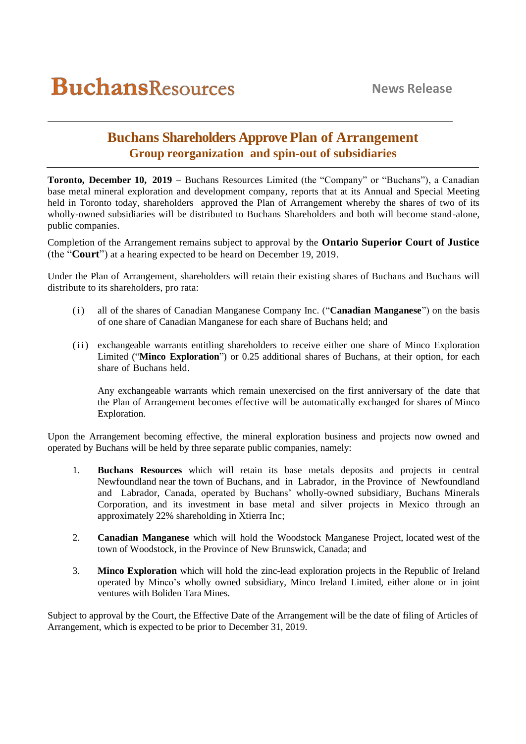# **Buchans Shareholders Approve Plan of Arrangement Group reorganization and spin-out of subsidiaries**

**Toronto, December 10, 2019 –** Buchans Resources Limited (the "Company" or "Buchans"), a Canadian base metal mineral exploration and development company, reports that at its Annual and Special Meeting held in Toronto today, shareholders approved the Plan of Arrangement whereby the shares of two of its wholly-owned subsidiaries will be distributed to Buchans Shareholders and both will become stand-alone, public companies.

Completion of the Arrangement remains subject to approval by the **Ontario Superior Court of Justice** (the "**Court**") at a hearing expected to be heard on December 19, 2019.

Under the Plan of Arrangement, shareholders will retain their existing shares of Buchans and Buchans will distribute to its shareholders, pro rata:

- (i) all of the shares of Canadian Manganese Company Inc. ("**Canadian Manganese**") on the basis of one share of Canadian Manganese for each share of Buchans held; and
- (ii) exchangeable warrants entitling shareholders to receive either one share of Minco Exploration Limited ("**Minco Exploration**") or 0.25 additional shares of Buchans, at their option, for each share of Buchans held.

Any exchangeable warrants which remain unexercised on the first anniversary of the date that the Plan of Arrangement becomes effective will be automatically exchanged for shares of Minco Exploration.

Upon the Arrangement becoming effective, the mineral exploration business and projects now owned and operated by Buchans will be held by three separate public companies, namely:

- 1. **Buchans Resources** which will retain its base metals deposits and projects in central Newfoundland near the town of Buchans, and in Labrador, in the Province of Newfoundland and Labrador, Canada, operated by Buchans' wholly-owned subsidiary, Buchans Minerals Corporation, and its investment in base metal and silver projects in Mexico through an approximately 22% shareholding in Xtierra Inc;
- 2. **Canadian Manganese** which will hold the Woodstock Manganese Project, located west of the town of Woodstock, in the Province of New Brunswick, Canada; and
- 3. **Minco Exploration** which will hold the zinc-lead exploration projects in the Republic of Ireland operated by Minco's wholly owned subsidiary, Minco Ireland Limited, either alone or in joint ventures with Boliden Tara Mines.

Subject to approval by the Court, the Effective Date of the Arrangement will be the date of filing of Articles of Arrangement, which is expected to be prior to December 31, 2019.